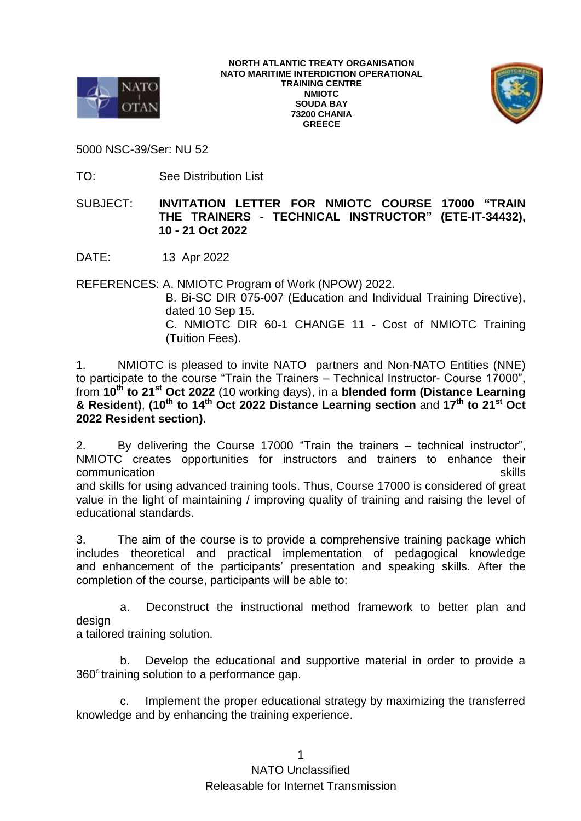

**NORTH ATLANTIC TREATY ORGANISATION NATO MARITIME INTERDICTION OPERATIONAL TRAINING CENTRE NMIOTC SOUDA BAY 73200 CHANIA GREECE**



5000 NSC-39/Ser: NU 52

TO: See Distribution List

SUBJECT: **INVITATION LETTER FOR NMIOTC COURSE 17000 "TRAIN THE TRAINERS - TECHNICAL INSTRUCTOR" (ETE-IT-34432), 10 - 21 Oct 2022**

DATE: 13 Apr 2022

REFERENCES: A. NMIOTC Program of Work (NPOW) 2022.

 B. Bi-SC DIR 075-007 (Education and Individual Training Directive), dated 10 Sep 15. C. NMIOTC DIR 60-1 CHANGE 11 - Cost of NMIOTC Training (Tuition Fees).

1. NMIOTC is pleased to invite NATO partners and Non-NATO Entities (NNE) to participate to the course "Train the Trainers – Technical Instructor- Course 17000", from **10 th to 21 st Oct 2022** (10 working days), in a **blended form (Distance Learning & Resident)**, **(10 th to 14 th Oct 2022 Distance Learning section** and **17 th to 21 st Oct 2022 Resident section).**

2. By delivering the Course 17000 "Train the trainers – technical instructor", NMIOTC creates opportunities for instructors and trainers to enhance their communication skills and the communication skills and the communication skills and the communication skills and the communication skills and the communication skills and the communication skills and the communication skill and skills for using advanced training tools. Thus, Course 17000 is considered of great value in the light of maintaining / improving quality of training and raising the level of educational standards.

3. The aim of the course is to provide a comprehensive training package which includes theoretical and practical implementation of pedagogical knowledge and enhancement of the participants' presentation and speaking skills. After the completion of the course, participants will be able to:

a. Deconstruct the instructional method framework to better plan and design

a tailored training solution.

b. Develop the educational and supportive material in order to provide a  $360^\circ$  training solution to a performance gap.

c. Implement the proper educational strategy by maximizing the transferred knowledge and by enhancing the training experience.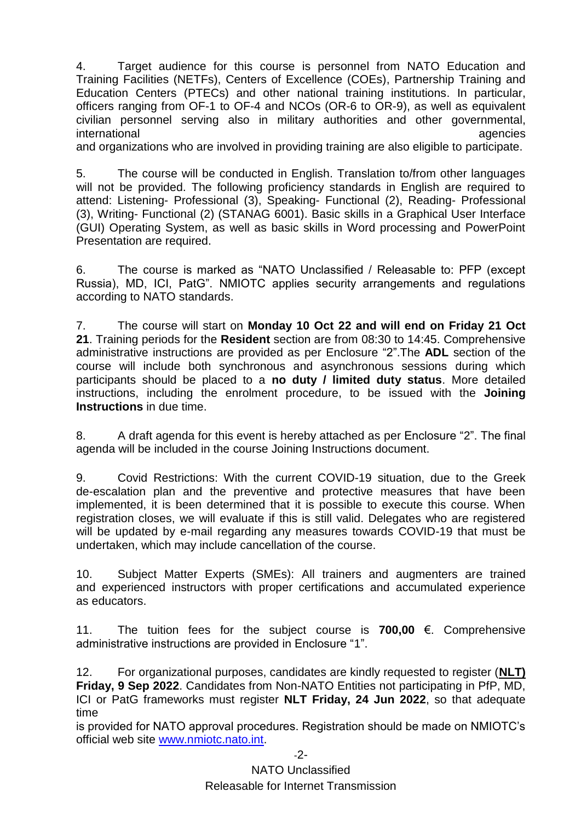4. Target audience for this course is personnel from NATO Education and Training Facilities (NETFs), Centers of Excellence (COEs), Partnership Training and Education Centers (PTECs) and other national training institutions. In particular, officers ranging from OF-1 to OF-4 and NCOs (OR-6 to OR-9), as well as equivalent civilian personnel serving also in military authorities and other governmental, international agencies and the contract of the contract of the contract of the contract of the contract of the contract of the contract of the contract of the contract of the contract of the contract of the contract of the

and organizations who are involved in providing training are also eligible to participate.

5. The course will be conducted in English. Translation to/from other languages will not be provided. The following proficiency standards in English are required to attend: Listening- Professional (3), Speaking- Functional (2), Reading- Professional (3), Writing- Functional (2) (STANAG 6001). Basic skills in a Graphical User Interface (GUI) Operating System, as well as basic skills in Word processing and PowerPoint Presentation are required.

6. The course is marked as "NATO Unclassified / Releasable to: PFP (except Russia), MD, ICI, PatG". NMIOTC applies security arrangements and regulations according to NATO standards.

7. The course will start on **Monday 10 Oct 22 and will end on Friday 21 Oct 21**. Training periods for the **Resident** section are from 08:30 to 14:45. Comprehensive administrative instructions are provided as per Enclosure "2".The **ADL** section of the course will include both synchronous and asynchronous sessions during which participants should be placed to a **no duty / limited duty status**. More detailed instructions, including the enrolment procedure, to be issued with the **Joining Instructions** in due time.

8. A draft agenda for this event is hereby attached as per Enclosure "2". The final agenda will be included in the course Joining Instructions document.

9. Covid Restrictions: With the current COVID-19 situation, due to the Greek de-escalation plan and the preventive and protective measures that have been implemented, it is been determined that it is possible to execute this course. When registration closes, we will evaluate if this is still valid. Delegates who are registered will be updated by e-mail regarding any measures towards COVID-19 that must be undertaken, which may include cancellation of the course.

10. Subject Matter Experts (SMEs): All trainers and augmenters are trained and experienced instructors with proper certifications and accumulated experience as educators.

11. The tuition fees for the subject course is **700,00** €. Comprehensive administrative instructions are provided in Enclosure "1".

12. For organizational purposes, candidates are kindly requested to register (**NLT) Friday, 9 Sep 2022**. Candidates from Non-NATO Entities not participating in PfP, MD, ICI or PatG frameworks must register **NLT Friday, 24 Jun 2022**, so that adequate time

is provided for NATO approval procedures. Registration should be made on NMIOTC's official web site [www.nmiotc.nato.int.](http://www.nmiotc.nato.int/)

-2-

NATO Unclassified Releasable for Internet Transmission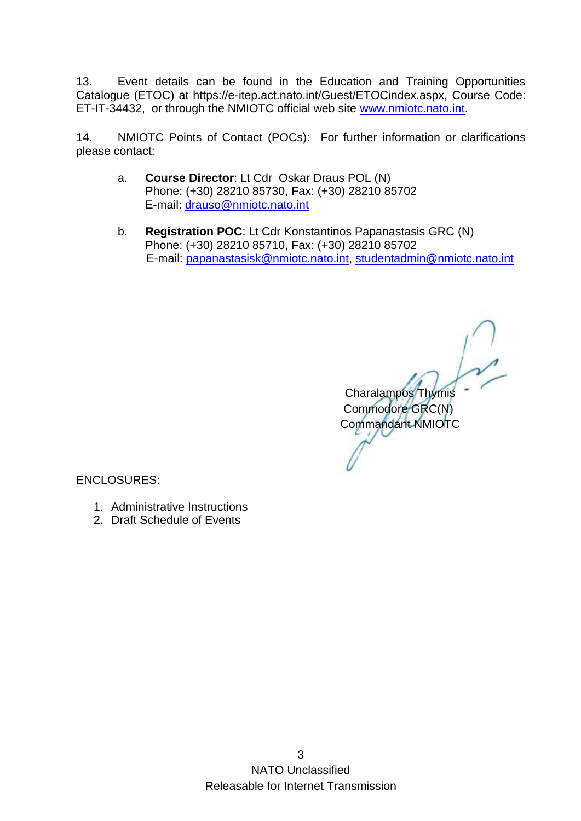13. Event details can be found in the Education and Training Opportunities Catalogue (ETOC) at https://e-itep.act.nato.int/Guest/ETOCindex.aspx, Course Code: ET-IT-34432, or through the NMIOTC official web site [www.nmiotc.nato.int.](http://www.nmiotc.nato.int/)

14. NMIOTC Points of Contact (POCs): For further information or clarifications please contact:

- a. **Course Director**: Lt Cdr Oskar Draus POL (N) Phone: (+30) 28210 85730, Fax: (+30) 28210 85702 E-mail: [drauso@nmiotc.nato.int](mailto:drauso@nmiotc.nato.int)
- b. **Registration POC**: Lt Cdr Konstantinos Papanastasis GRC (N) Phone: (+30) 28210 85710, Fax: (+30) 28210 85702 E-mail: [papanastasisk@nmiotc.nato.int,](mailto:papanastasisk@nmiotc.nato.int) [studentadmin@nmiotc.nato.int](mailto:studentadmin@nmiotc.nato.int)

 Charalampos Thymis Commodore GRC(N) Commandant NMIOTC

ENCLOSURES:

- 1. Administrative Instructions
- 2. Draft Schedule of Events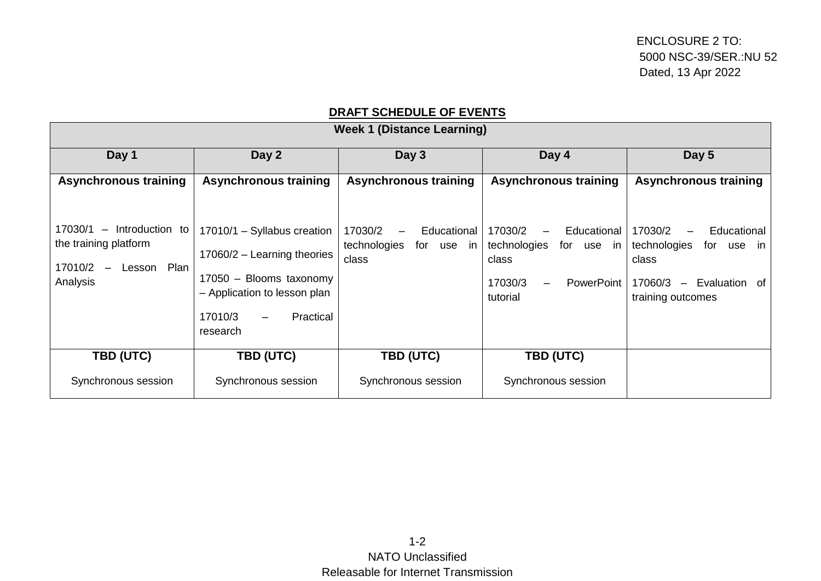## **DRAFT SCHEDULE OF EVENTS**

| <b>Week 1 (Distance Learning)</b>                                                               |                                                                                                                                                                                  |                                                               |                                                                                                    |                                                                                                               |
|-------------------------------------------------------------------------------------------------|----------------------------------------------------------------------------------------------------------------------------------------------------------------------------------|---------------------------------------------------------------|----------------------------------------------------------------------------------------------------|---------------------------------------------------------------------------------------------------------------|
| Day 1                                                                                           | Day 2                                                                                                                                                                            | Day 3                                                         | Day 4                                                                                              | Day 5                                                                                                         |
| <b>Asynchronous training</b>                                                                    | <b>Asynchronous training</b>                                                                                                                                                     | <b>Asynchronous training</b>                                  | <b>Asynchronous training</b>                                                                       | <b>Asynchronous training</b>                                                                                  |
| 17030/1 - Introduction to<br>the training platform<br>17010/2<br>Lesson Plan<br>$-$<br>Analysis | 17010/1 - Syllabus creation<br>$17060/2$ - Learning theories<br>17050 - Blooms taxonomy<br>- Application to lesson plan<br>17010/3<br>Practical<br>$\qquad \qquad -$<br>research | 17030/2<br>Educational<br>technologies<br>for use in<br>class | 17030/2<br>Educational<br>technologies<br>for use in<br>class<br>17030/3<br>PowerPoint<br>tutorial | 17030/2<br>Educational<br>technologies<br>for use in<br>class<br>17060/3 - Evaluation of<br>training outcomes |
| TBD (UTC)                                                                                       | TBD (UTC)                                                                                                                                                                        | TBD (UTC)                                                     | TBD (UTC)                                                                                          |                                                                                                               |
| Synchronous session                                                                             | Synchronous session                                                                                                                                                              | Synchronous session                                           | Synchronous session                                                                                |                                                                                                               |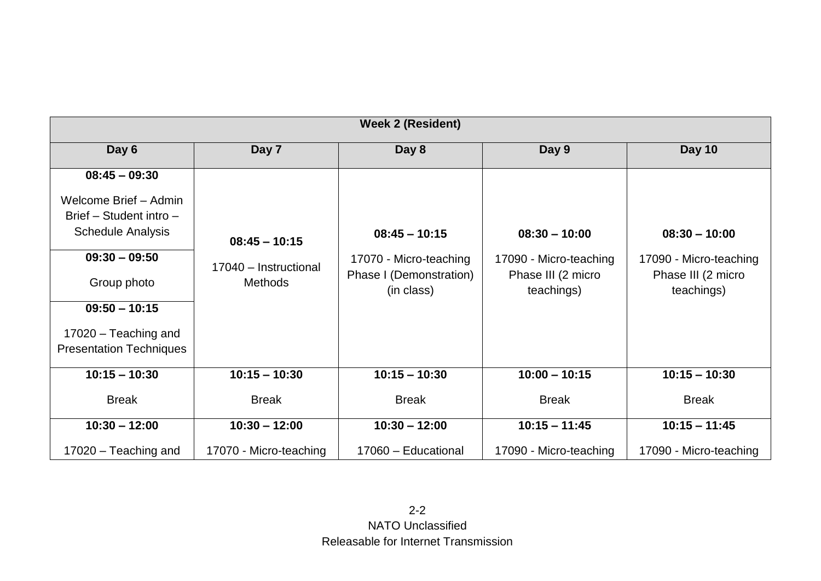| <b>Week 2 (Resident)</b>       |                                                            |                                       |                                  |                                  |
|--------------------------------|------------------------------------------------------------|---------------------------------------|----------------------------------|----------------------------------|
| Day 6                          | Day 7                                                      | Day 8                                 | Day 9                            | <b>Day 10</b>                    |
| $08:45 - 09:30$                |                                                            |                                       |                                  |                                  |
| Welcome Brief - Admin          |                                                            |                                       |                                  |                                  |
| Brief - Student intro -        |                                                            |                                       |                                  |                                  |
| <b>Schedule Analysis</b>       | $08:45 - 10:15$<br>17040 - Instructional<br><b>Methods</b> | $08:45 - 10:15$                       | $08:30 - 10:00$                  | $08:30 - 10:00$                  |
| $09:30 - 09:50$                |                                                            | 17070 - Micro-teaching                | 17090 - Micro-teaching           | 17090 - Micro-teaching           |
| Group photo                    |                                                            | Phase I (Demonstration)<br>(in class) | Phase III (2 micro<br>teachings) | Phase III (2 micro<br>teachings) |
| $09:50 - 10:15$                |                                                            |                                       |                                  |                                  |
| 17020 - Teaching and           |                                                            |                                       |                                  |                                  |
| <b>Presentation Techniques</b> |                                                            |                                       |                                  |                                  |
| $10:15 - 10:30$                | $10:15 - 10:30$                                            | $10:15 - 10:30$                       | $10:00 - 10:15$                  | $10:15 - 10:30$                  |
| <b>Break</b>                   | <b>Break</b>                                               | <b>Break</b>                          | <b>Break</b>                     | <b>Break</b>                     |
| $10:30 - 12:00$                | $10:30 - 12:00$                                            | $10:30 - 12:00$                       | $10:15 - 11:45$                  | $10:15 - 11:45$                  |
| 17020 - Teaching and           | 17070 - Micro-teaching                                     | 17060 - Educational                   | 17090 - Micro-teaching           | 17090 - Micro-teaching           |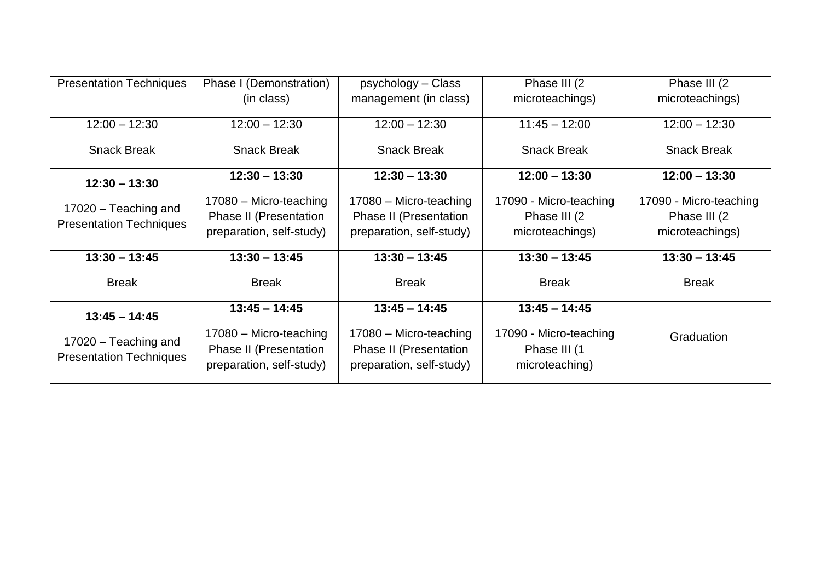| <b>Presentation Techniques</b>                         | Phase I (Demonstration)                                                      | psychology – Class                                                           | Phase III (2)                                            | Phase III (2)          |
|--------------------------------------------------------|------------------------------------------------------------------------------|------------------------------------------------------------------------------|----------------------------------------------------------|------------------------|
|                                                        | (in class)                                                                   | management (in class)                                                        | microteachings)                                          | microteachings)        |
| $12:00 - 12:30$                                        | $12:00 - 12:30$                                                              | $12:00 - 12:30$                                                              | $11:45 - 12:00$                                          | $12:00 - 12:30$        |
| <b>Snack Break</b>                                     | <b>Snack Break</b>                                                           | <b>Snack Break</b>                                                           | <b>Snack Break</b>                                       | <b>Snack Break</b>     |
| $12:30 - 13:30$                                        | $12:30 - 13:30$                                                              | $12:30 - 13:30$                                                              | $12:00 - 13:30$                                          | $12:00 - 13:30$        |
|                                                        | 17080 - Micro-teaching                                                       | 17080 - Micro-teaching                                                       | 17090 - Micro-teaching                                   | 17090 - Micro-teaching |
| 17020 - Teaching and<br><b>Presentation Techniques</b> | <b>Phase II (Presentation</b>                                                | Phase II (Presentation                                                       | Phase III (2)                                            | Phase III (2)          |
|                                                        | preparation, self-study)                                                     | preparation, self-study)                                                     | microteachings)                                          | microteachings)        |
| $13:30 - 13:45$                                        | $13:30 - 13:45$                                                              | $13:30 - 13:45$                                                              | $13:30 - 13:45$                                          | $13:30 - 13:45$        |
| <b>Break</b>                                           | <b>Break</b>                                                                 | <b>Break</b>                                                                 | <b>Break</b>                                             | <b>Break</b>           |
| $13:45 - 14:45$                                        | $13:45 - 14:45$                                                              | $13:45 - 14:45$                                                              | $13:45 - 14:45$                                          |                        |
| 17020 - Teaching and<br><b>Presentation Techniques</b> | 17080 - Micro-teaching<br>Phase II (Presentation<br>preparation, self-study) | 17080 - Micro-teaching<br>Phase II (Presentation<br>preparation, self-study) | 17090 - Micro-teaching<br>Phase III (1<br>microteaching) | Graduation             |
|                                                        |                                                                              |                                                                              |                                                          |                        |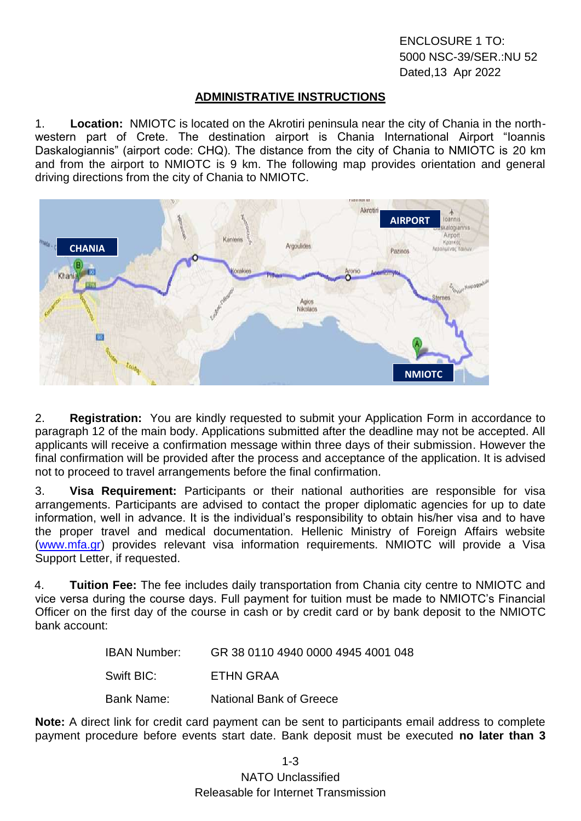ENCLOSURE 1 TO: 5000 NSC-39/SER.:NU 52 Dated,13 Apr 2022

## **ADMINISTRATIVE INSTRUCTIONS**

1. **Location:** NMIOTC is located on the Akrotiri peninsula near the city of Chania in the northwestern part of Crete. The destination airport is Chania International Airport "Ioannis Daskalogiannis" (airport code: CHQ). The distance from the city of Chania to NMIOTC is 20 km and from the airport to NMIOTC is 9 km. The following map provides orientation and general driving directions from the city of Chania to NMIOTC.



2. **Registration:** You are kindly requested to submit your Application Form in accordance to paragraph 12 of the main body. Applications submitted after the deadline may not be accepted. All applicants will receive a confirmation message within three days of their submission. However the final confirmation will be provided after the process and acceptance of the application. It is advised not to proceed to travel arrangements before the final confirmation.

3. **Visa Requirement:** Participants or their national authorities are responsible for visa arrangements. Participants are advised to contact the proper diplomatic agencies for up to date information, well in advance. It is the individual's responsibility to obtain his/her visa and to have the proper travel and medical documentation. Hellenic Ministry of Foreign Affairs website [\(www.mfa.gr\)](http://www.mfa.gr/) provides relevant visa information requirements. NMIOTC will provide a Visa Support Letter, if requested.

4. **Tuition Fee:** The fee includes daily transportation from Chania city centre to NMIOTC and vice versa during the course days. Full payment for tuition must be made to NMIOTC's Financial Officer on the first day of the course in cash or by credit card or by bank deposit to the NMIOTC bank account:

| IBAN Number: | GR 38 0110 4940 0000 4945 4001 048 |
|--------------|------------------------------------|
| Swift BIC:   | ETHN GRAA                          |
| Bank Name:   | <b>National Bank of Greece</b>     |

**Note:** A direct link for credit card payment can be sent to participants email address to complete payment procedure before events start date. Bank deposit must be executed **no later than 3** 

NATO Unclassified Releasable for Internet Transmission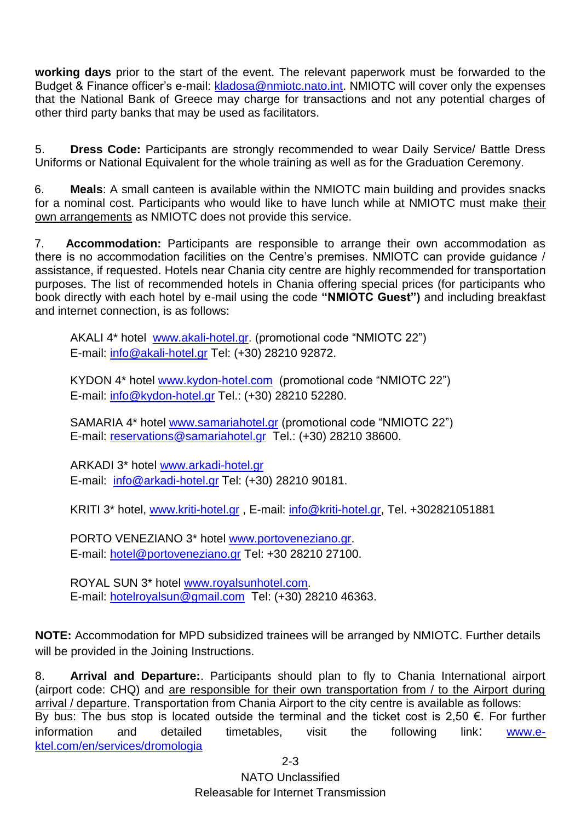**working days** prior to the start of the event. The relevant paperwork must be forwarded to the Budget & Finance officer's e-mail: [kladosa@nmiotc.nato.int.](mailto:kladosa@nmiotc.nato.int) NMIOTC will cover only the expenses that the National Bank of Greece may charge for transactions and not any potential charges of other third party banks that may be used as facilitators.

5. **Dress Code:** Participants are strongly recommended to wear Daily Service/ Battle Dress Uniforms or National Equivalent for the whole training as well as for the Graduation Ceremony.

6. **Meals**: A small canteen is available within the NMIOTC main building and provides snacks for a nominal cost. Participants who would like to have lunch while at NMIOTC must make their own arrangements as NMIOTC does not provide this service.

7. **Accommodation:** Participants are responsible to arrange their own accommodation as there is no accommodation facilities on the Centre's premises. NMIOTC can provide guidance / assistance, if requested. Hotels near Chania city centre are highly recommended for transportation purposes. The list of recommended hotels in Chania offering special prices (for participants who book directly with each hotel by e-mail using the code **"NMIOTC Guest")** and including breakfast and internet connection, is as follows:

AKALI 4\* hotel [www.akali-hotel.gr.](http://www.akali-hotel.gr/) (promotional code "NMIOTC 22") E-mail: [info@akali-hotel.gr](mailto:info@akali-hotel.gr) Τel: [\(+30\) 28210 9](tel:%2B30%202821038600)2872.

KYDON 4\* hotel [www.kydon-hotel.com](file://nunmisv-apps/Outgoing_Documents/Users/m.woolley/AppData/Local/Microsoft/Windows/Temporary%20Internet%20Files/Content.Outlook/Local%20Settings/Temporary%20Internet%20Files/Content.Outlook/Local%20Settings/Temporary%20Internet%20Files/Content.Outlook/Local%20Settings/Temporary%20Internet%20Files/AppData/Local/Microsoft/Windows/Temporary%20Internet%20Files/lytrase/Local%20Settings/Temporary%20Internet%20Files/Content.Outlook/Local%20Settings/Temporary%20Internet%20Files/vougioukasg/Local%20Settings/Temporary%20Internet%20Files/sampanisk/Local%20Settings/Temporary%20Internet%20Files/Content.Outlook/Local%20Settings/Temporary%20Internet%20Files/Content.Outlook/UZHVFRKX/www.kydon-hotel.com) (promotional code "NMIOTC 22") E-mail: [info@kydon-hotel.gr](mailto:info@kydon-hotel.gr) Tel.: (+30) 28210 52280.

SAMARIA 4\* hotel [www.samariahotel.gr](http://www.samariahotel.gr/) (promotional code "NMIOTC 22") E-mail: [reservations@samariahotel.gr](mailto:reservations@samariahotel.gr) Τel.: [\(+30\) 28210 38600.](tel:%2B30%202821038600)

ARKADI 3\* hotel [www.arkadi-hotel.gr](http://www.arkadi-hotel.gr/) E-mail: [info@arkadi-hotel.gr](mailto:info@arkadi-hotel.gr) Τel: [\(+30\) 28210 9](tel:%2B30%202821038600)0181.

KRITI 3\* hotel, [www.kriti-hotel.gr](http://www.kriti-hotel.gr/) , E-mail: [info@kriti-hotel.gr,](mailto:info@kriti-hotel.gr) Tel. +302821051881

PORTO VENEZIANO 3\* hotel [www.portoveneziano.gr.](http://www.portoveneziano.gr/) E-mail: [hotel@portoveneziano.gr](mailto:hotel@portoveneziano.gr) Tel: +30 28210 27100.

ROYAL SUN 3\* hotel [www.royalsunhotel.com](http://www.royalsunhotel.com/). E-mail: [hotelroyalsun@gmail.com](mailto:hotelroyalsun@gmail.com) Τel: [\(+30\) 28210 4](tel:%2B30%202821038600)6363.

**NOTE:** Accommodation for MPD subsidized trainees will be arranged by NMIOTC. Further details will be provided in the Joining Instructions.

8. **Arrival and Departure:**. Participants should plan to fly to Chania International airport (airport code: CHQ) and are responsible for their own transportation from / to the Airport during arrival / departure. Transportation from Chania Airport to the city centre is available as follows: By bus: The bus stop is located outside the terminal and the ticket cost is 2,50  $\epsilon$ . For further information and detailed timetables, visit the following link: **WWW.e**[ktel.com/en/services/dromologia](http://www.e-ktel.com/en/services/dromologia)